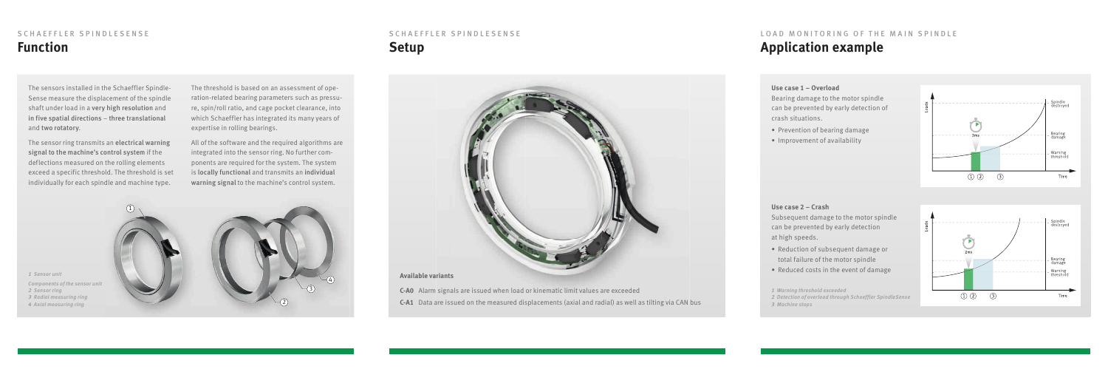The sensors installed in the Schaeffler Spindle-Sense measure the displacement of the spindle shaft under load in a very high resolution and in five spatial directions – three translational and two rotatory.

The sensor ring transmits an electrical warning signal to the machine's control system if the deflections measured on the rolling elements exceed a specific threshold. The threshold is set individually for each spindle and machine type.

The threshold is based on an assessment of operation-related bearing parameters such as pressure, spin/roll ratio, and cage pocket clearance, into which Schaeffler has integrated its many years of expertise in rolling bearings.

All of the software and the required algorithms are integrated into the sensor ring. No further components are required for the system. The system is locally functional and transmits an individual warning signal to the machine's control system.

1



 *Sensor unit Components of the sensor unit Sensor ring Radial measuring ring Axial measuring ring*

### **Use case 1 – Overload**

Bearing damage to the motor spindle can be prevented by early detection of crash situations.

- Prevention of bearing damage
- Improvement of availability



#### **Use case 2 – Crash**

Subsequent damage to the motor spindle can be prevented by early detection at high speeds.

- Reduction of subsequent damage or total failure of the motor spindle
- Reduced costs in the event of damage

## SCHAEFFLER SPINDLESENSE **Function**

# SCHAEFFLER SPINDLESENSE **Setup**



#### **Available variants**

- **C-A0** Alarm signals are issued when load or kinematic limit values are exceeded
- **C-A1** Data are issued on the measured displacements (axial and radial) as well as tilting via CAN bus

# LOAD MONITORING OF THE MAIN SPINDLE **Application example**

*1 Warning threshold exceeded*

*2 Detection of overload through Schaeffler SpindleSense 3 Machine stops*